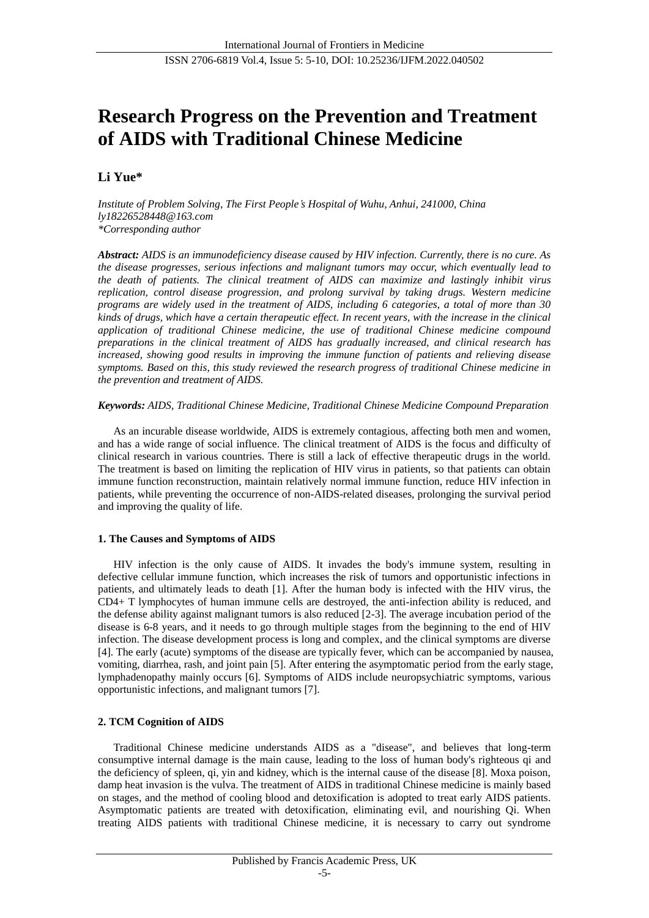# **Research Progress on the Prevention and Treatment of AIDS with Traditional Chinese Medicine**

## **Li Yue\***

*Institute of Problem Solving, The First People's Hospital of Wuhu, Anhui, 241000, China ly18226528448@163.com \*Corresponding author*

*Abstract: AIDS is an immunodeficiency disease caused by HIV infection. Currently, there is no cure. As the disease progresses, serious infections and malignant tumors may occur, which eventually lead to the death of patients. The clinical treatment of AIDS can maximize and lastingly inhibit virus replication, control disease progression, and prolong survival by taking drugs. Western medicine programs are widely used in the treatment of AIDS, including 6 categories, a total of more than 30 kinds of drugs, which have a certain therapeutic effect. In recent years, with the increase in the clinical application of traditional Chinese medicine, the use of traditional Chinese medicine compound preparations in the clinical treatment of AIDS has gradually increased, and clinical research has increased, showing good results in improving the immune function of patients and relieving disease symptoms. Based on this, this study reviewed the research progress of traditional Chinese medicine in the prevention and treatment of AIDS.*

#### *Keywords: AIDS, Traditional Chinese Medicine, Traditional Chinese Medicine Compound Preparation*

As an incurable disease worldwide, AIDS is extremely contagious, affecting both men and women, and has a wide range of social influence. The clinical treatment of AIDS is the focus and difficulty of clinical research in various countries. There is still a lack of effective therapeutic drugs in the world. The treatment is based on limiting the replication of HIV virus in patients, so that patients can obtain immune function reconstruction, maintain relatively normal immune function, reduce HIV infection in patients, while preventing the occurrence of non-AIDS-related diseases, prolonging the survival period and improving the quality of life.

## **1. The Causes and Symptoms of AIDS**

HIV infection is the only cause of AIDS. It invades the body's immune system, resulting in defective cellular immune function, which increases the risk of tumors and opportunistic infections in patients, and ultimately leads to death [1]. After the human body is infected with the HIV virus, the CD4+ T lymphocytes of human immune cells are destroyed, the anti-infection ability is reduced, and the defense ability against malignant tumors is also reduced [2-3]. The average incubation period of the disease is 6-8 years, and it needs to go through multiple stages from the beginning to the end of HIV infection. The disease development process is long and complex, and the clinical symptoms are diverse [4]. The early (acute) symptoms of the disease are typically fever, which can be accompanied by nausea, vomiting, diarrhea, rash, and joint pain [5]. After entering the asymptomatic period from the early stage, lymphadenopathy mainly occurs [6]. Symptoms of AIDS include neuropsychiatric symptoms, various opportunistic infections, and malignant tumors [7].

## **2. TCM Cognition of AIDS**

Traditional Chinese medicine understands AIDS as a "disease", and believes that long-term consumptive internal damage is the main cause, leading to the loss of human body's righteous qi and the deficiency of spleen, qi, yin and kidney, which is the internal cause of the disease [8]. Moxa poison, damp heat invasion is the vulva. The treatment of AIDS in traditional Chinese medicine is mainly based on stages, and the method of cooling blood and detoxification is adopted to treat early AIDS patients. Asymptomatic patients are treated with detoxification, eliminating evil, and nourishing Qi. When treating AIDS patients with traditional Chinese medicine, it is necessary to carry out syndrome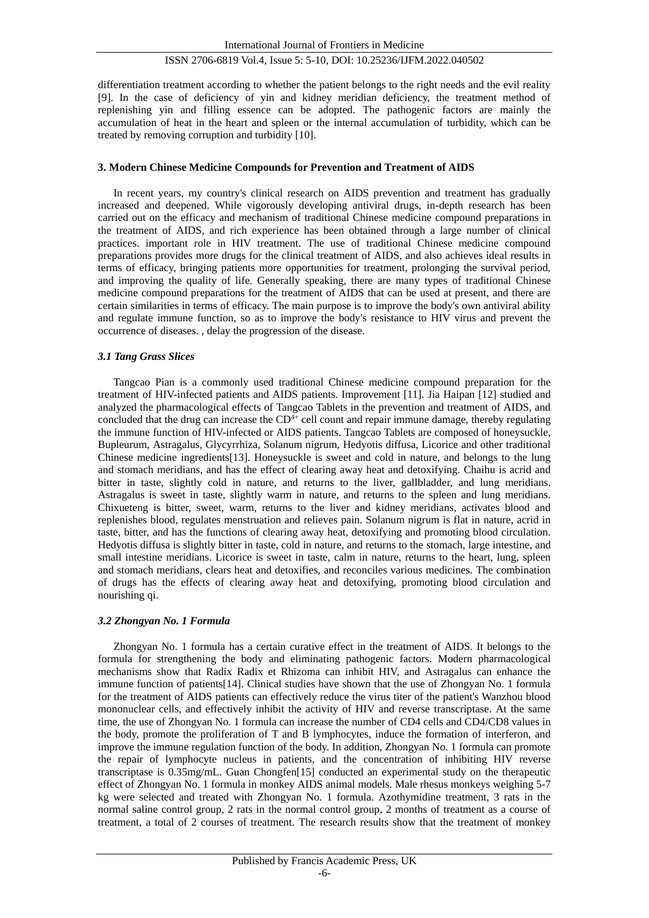differentiation treatment according to whether the patient belongs to the right needs and the evil reality [9]. In the case of deficiency of yin and kidney meridian deficiency, the treatment method of replenishing yin and filling essence can be adopted. The pathogenic factors are mainly the accumulation of heat in the heart and spleen or the internal accumulation of turbidity, which can be treated by removing corruption and turbidity [10].

#### **3. Modern Chinese Medicine Compounds for Prevention and Treatment of AIDS**

In recent years, my country's clinical research on AIDS prevention and treatment has gradually increased and deepened. While vigorously developing antiviral drugs, in-depth research has been carried out on the efficacy and mechanism of traditional Chinese medicine compound preparations in the treatment of AIDS, and rich experience has been obtained through a large number of clinical practices. important role in HIV treatment. The use of traditional Chinese medicine compound preparations provides more drugs for the clinical treatment of AIDS, and also achieves ideal results in terms of efficacy, bringing patients more opportunities for treatment, prolonging the survival period, and improving the quality of life. Generally speaking, there are many types of traditional Chinese medicine compound preparations for the treatment of AIDS that can be used at present, and there are certain similarities in terms of efficacy. The main purpose is to improve the body's own antiviral ability and regulate immune function, so as to improve the body's resistance to HIV virus and prevent the occurrence of diseases. , delay the progression of the disease.

#### *3.1 Tang Grass Slices*

Tangcao Pian is a commonly used traditional Chinese medicine compound preparation for the treatment of HIV-infected patients and AIDS patients. Improvement [11]. Jia Haipan [12] studied and analyzed the pharmacological effects of Tangcao Tablets in the prevention and treatment of AIDS, and concluded that the drug can increase the  $CD<sup>4+</sup>$  cell count and repair immune damage, thereby regulating the immune function of HIV-infected or AIDS patients. Tangcao Tablets are composed of honeysuckle, Bupleurum, Astragalus, Glycyrrhiza, Solanum nigrum, Hedyotis diffusa, Licorice and other traditional Chinese medicine ingredients[13]. Honeysuckle is sweet and cold in nature, and belongs to the lung and stomach meridians, and has the effect of clearing away heat and detoxifying. Chaihu is acrid and bitter in taste, slightly cold in nature, and returns to the liver, gallbladder, and lung meridians. Astragalus is sweet in taste, slightly warm in nature, and returns to the spleen and lung meridians. Chixueteng is bitter, sweet, warm, returns to the liver and kidney meridians, activates blood and replenishes blood, regulates menstruation and relieves pain. Solanum nigrum is flat in nature, acrid in taste, bitter, and has the functions of clearing away heat, detoxifying and promoting blood circulation. Hedyotis diffusa is slightly bitter in taste, cold in nature, and returns to the stomach, large intestine, and small intestine meridians. Licorice is sweet in taste, calm in nature, returns to the heart, lung, spleen and stomach meridians, clears heat and detoxifies, and reconciles various medicines. The combination of drugs has the effects of clearing away heat and detoxifying, promoting blood circulation and nourishing qi.

#### *3.2 Zhongyan No. 1 Formula*

Zhongyan No. 1 formula has a certain curative effect in the treatment of AIDS. It belongs to the formula for strengthening the body and eliminating pathogenic factors. Modern pharmacological mechanisms show that Radix Radix et Rhizoma can inhibit HIV, and Astragalus can enhance the immune function of patients[14]. Clinical studies have shown that the use of Zhongyan No. 1 formula for the treatment of AIDS patients can effectively reduce the virus titer of the patient's Wanzhou blood mononuclear cells, and effectively inhibit the activity of HIV and reverse transcriptase. At the same time, the use of Zhongyan No. 1 formula can increase the number of CD4 cells and CD4/CD8 values in the body, promote the proliferation of T and B lymphocytes, induce the formation of interferon, and improve the immune regulation function of the body. In addition, Zhongyan No. 1 formula can promote the repair of lymphocyte nucleus in patients, and the concentration of inhibiting HIV reverse transcriptase is 0.35mg/mL. Guan Chongfen[15] conducted an experimental study on the therapeutic effect of Zhongyan No. 1 formula in monkey AIDS animal models. Male rhesus monkeys weighing 5-7 kg were selected and treated with Zhongyan No. 1 formula. Azothymidine treatment, 3 rats in the normal saline control group, 2 rats in the normal control group, 2 months of treatment as a course of treatment, a total of 2 courses of treatment. The research results show that the treatment of monkey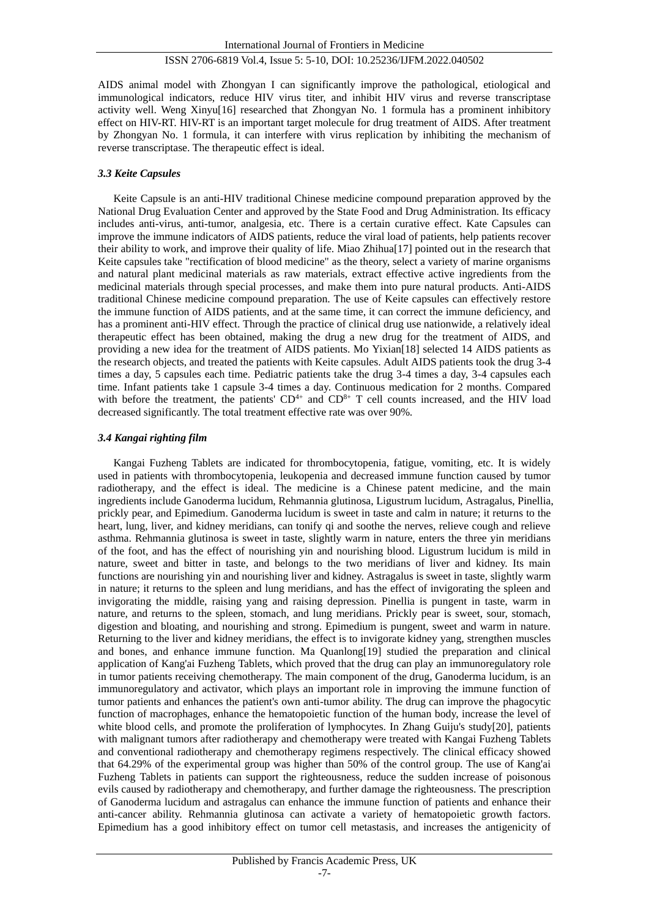AIDS animal model with Zhongyan I can significantly improve the pathological, etiological and immunological indicators, reduce HIV virus titer, and inhibit HIV virus and reverse transcriptase activity well. Weng Xinyu[16] researched that Zhongyan No. 1 formula has a prominent inhibitory effect on HIV-RT. HIV-RT is an important target molecule for drug treatment of AIDS. After treatment by Zhongyan No. 1 formula, it can interfere with virus replication by inhibiting the mechanism of reverse transcriptase. The therapeutic effect is ideal.

#### *3.3 Keite Capsules*

Keite Capsule is an anti-HIV traditional Chinese medicine compound preparation approved by the National Drug Evaluation Center and approved by the State Food and Drug Administration. Its efficacy includes anti-virus, anti-tumor, analgesia, etc. There is a certain curative effect. Kate Capsules can improve the immune indicators of AIDS patients, reduce the viral load of patients, help patients recover their ability to work, and improve their quality of life. Miao Zhihua[17] pointed out in the research that Keite capsules take "rectification of blood medicine" as the theory, select a variety of marine organisms and natural plant medicinal materials as raw materials, extract effective active ingredients from the medicinal materials through special processes, and make them into pure natural products. Anti-AIDS traditional Chinese medicine compound preparation. The use of Keite capsules can effectively restore the immune function of AIDS patients, and at the same time, it can correct the immune deficiency, and has a prominent anti-HIV effect. Through the practice of clinical drug use nationwide, a relatively ideal therapeutic effect has been obtained, making the drug a new drug for the treatment of AIDS, and providing a new idea for the treatment of AIDS patients. Mo Yixian[18] selected 14 AIDS patients as the research objects, and treated the patients with Keite capsules. Adult AIDS patients took the drug 3-4 times a day, 5 capsules each time. Pediatric patients take the drug 3-4 times a day, 3-4 capsules each time. Infant patients take 1 capsule 3-4 times a day. Continuous medication for 2 months. Compared with before the treatment, the patients'  $CD^{4+}$  and  $CD^{8+}$  T cell counts increased, and the HIV load decreased significantly. The total treatment effective rate was over 90%.

#### *3.4 Kangai righting film*

Kangai Fuzheng Tablets are indicated for thrombocytopenia, fatigue, vomiting, etc. It is widely used in patients with thrombocytopenia, leukopenia and decreased immune function caused by tumor radiotherapy, and the effect is ideal. The medicine is a Chinese patent medicine, and the main ingredients include Ganoderma lucidum, Rehmannia glutinosa, Ligustrum lucidum, Astragalus, Pinellia, prickly pear, and Epimedium. Ganoderma lucidum is sweet in taste and calm in nature; it returns to the heart, lung, liver, and kidney meridians, can tonify qi and soothe the nerves, relieve cough and relieve asthma. Rehmannia glutinosa is sweet in taste, slightly warm in nature, enters the three yin meridians of the foot, and has the effect of nourishing yin and nourishing blood. Ligustrum lucidum is mild in nature, sweet and bitter in taste, and belongs to the two meridians of liver and kidney. Its main functions are nourishing yin and nourishing liver and kidney. Astragalus is sweet in taste, slightly warm in nature; it returns to the spleen and lung meridians, and has the effect of invigorating the spleen and invigorating the middle, raising yang and raising depression. Pinellia is pungent in taste, warm in nature, and returns to the spleen, stomach, and lung meridians. Prickly pear is sweet, sour, stomach, digestion and bloating, and nourishing and strong. Epimedium is pungent, sweet and warm in nature. Returning to the liver and kidney meridians, the effect is to invigorate kidney yang, strengthen muscles and bones, and enhance immune function. Ma Quanlong[19] studied the preparation and clinical application of Kang'ai Fuzheng Tablets, which proved that the drug can play an immunoregulatory role in tumor patients receiving chemotherapy. The main component of the drug, Ganoderma lucidum, is an immunoregulatory and activator, which plays an important role in improving the immune function of tumor patients and enhances the patient's own anti-tumor ability. The drug can improve the phagocytic function of macrophages, enhance the hematopoietic function of the human body, increase the level of white blood cells, and promote the proliferation of lymphocytes. In Zhang Guiju's study[20], patients with malignant tumors after radiotherapy and chemotherapy were treated with Kangai Fuzheng Tablets and conventional radiotherapy and chemotherapy regimens respectively. The clinical efficacy showed that 64.29% of the experimental group was higher than 50% of the control group. The use of Kang'ai Fuzheng Tablets in patients can support the righteousness, reduce the sudden increase of poisonous evils caused by radiotherapy and chemotherapy, and further damage the righteousness. The prescription of Ganoderma lucidum and astragalus can enhance the immune function of patients and enhance their anti-cancer ability. Rehmannia glutinosa can activate a variety of hematopoietic growth factors. Epimedium has a good inhibitory effect on tumor cell metastasis, and increases the antigenicity of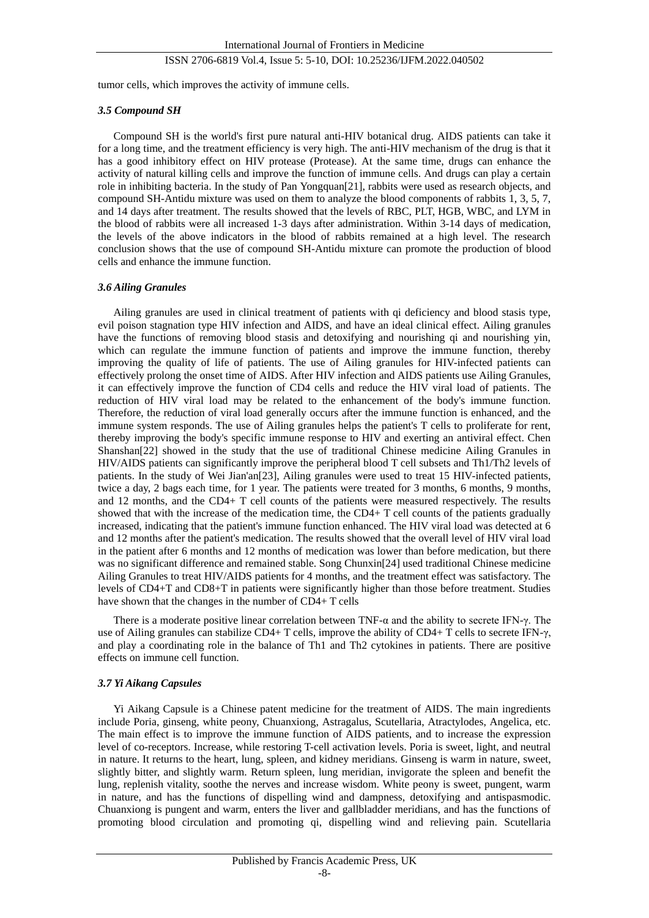tumor cells, which improves the activity of immune cells.

#### *3.5 Compound SH*

Compound SH is the world's first pure natural anti-HIV botanical drug. AIDS patients can take it for a long time, and the treatment efficiency is very high. The anti-HIV mechanism of the drug is that it has a good inhibitory effect on HIV protease (Protease). At the same time, drugs can enhance the activity of natural killing cells and improve the function of immune cells. And drugs can play a certain role in inhibiting bacteria. In the study of Pan Yongquan[21], rabbits were used as research objects, and compound SH-Antidu mixture was used on them to analyze the blood components of rabbits 1, 3, 5, 7, and 14 days after treatment. The results showed that the levels of RBC, PLT, HGB, WBC, and LYM in the blood of rabbits were all increased 1-3 days after administration. Within 3-14 days of medication, the levels of the above indicators in the blood of rabbits remained at a high level. The research conclusion shows that the use of compound SH-Antidu mixture can promote the production of blood cells and enhance the immune function.

#### *3.6 Ailing Granules*

Ailing granules are used in clinical treatment of patients with qi deficiency and blood stasis type, evil poison stagnation type HIV infection and AIDS, and have an ideal clinical effect. Ailing granules have the functions of removing blood stasis and detoxifying and nourishing qi and nourishing yin, which can regulate the immune function of patients and improve the immune function, thereby improving the quality of life of patients. The use of Ailing granules for HIV-infected patients can effectively prolong the onset time of AIDS. After HIV infection and AIDS patients use Ailing Granules, it can effectively improve the function of CD4 cells and reduce the HIV viral load of patients. The reduction of HIV viral load may be related to the enhancement of the body's immune function. Therefore, the reduction of viral load generally occurs after the immune function is enhanced, and the immune system responds. The use of Ailing granules helps the patient's T cells to proliferate for rent, thereby improving the body's specific immune response to HIV and exerting an antiviral effect. Chen Shanshan[22] showed in the study that the use of traditional Chinese medicine Ailing Granules in HIV/AIDS patients can significantly improve the peripheral blood T cell subsets and Th1/Th2 levels of patients. In the study of Wei Jian'an[23], Ailing granules were used to treat 15 HIV-infected patients, twice a day, 2 bags each time, for 1 year. The patients were treated for 3 months, 6 months, 9 months, and 12 months, and the CD4+ T cell counts of the patients were measured respectively. The results showed that with the increase of the medication time, the CD4+ T cell counts of the patients gradually increased, indicating that the patient's immune function enhanced. The HIV viral load was detected at 6 and 12 months after the patient's medication. The results showed that the overall level of HIV viral load in the patient after 6 months and 12 months of medication was lower than before medication, but there was no significant difference and remained stable. Song Chunxin[24] used traditional Chinese medicine Ailing Granules to treat HIV/AIDS patients for 4 months, and the treatment effect was satisfactory. The levels of CD4+T and CD8+T in patients were significantly higher than those before treatment. Studies have shown that the changes in the number of CD4+ T cells

There is a moderate positive linear correlation between TNF- $\alpha$  and the ability to secrete IFN- $\gamma$ . The use of Ailing granules can stabilize CD4+ T cells, improve the ability of CD4+ T cells to secrete IFN-γ, and play a coordinating role in the balance of Th1 and Th2 cytokines in patients. There are positive effects on immune cell function.

#### *3.7 Yi Aikang Capsules*

Yi Aikang Capsule is a Chinese patent medicine for the treatment of AIDS. The main ingredients include Poria, ginseng, white peony, Chuanxiong, Astragalus, Scutellaria, Atractylodes, Angelica, etc. The main effect is to improve the immune function of AIDS patients, and to increase the expression level of co-receptors. Increase, while restoring T-cell activation levels. Poria is sweet, light, and neutral in nature. It returns to the heart, lung, spleen, and kidney meridians. Ginseng is warm in nature, sweet, slightly bitter, and slightly warm. Return spleen, lung meridian, invigorate the spleen and benefit the lung, replenish vitality, soothe the nerves and increase wisdom. White peony is sweet, pungent, warm in nature, and has the functions of dispelling wind and dampness, detoxifying and antispasmodic. Chuanxiong is pungent and warm, enters the liver and gallbladder meridians, and has the functions of promoting blood circulation and promoting qi, dispelling wind and relieving pain. Scutellaria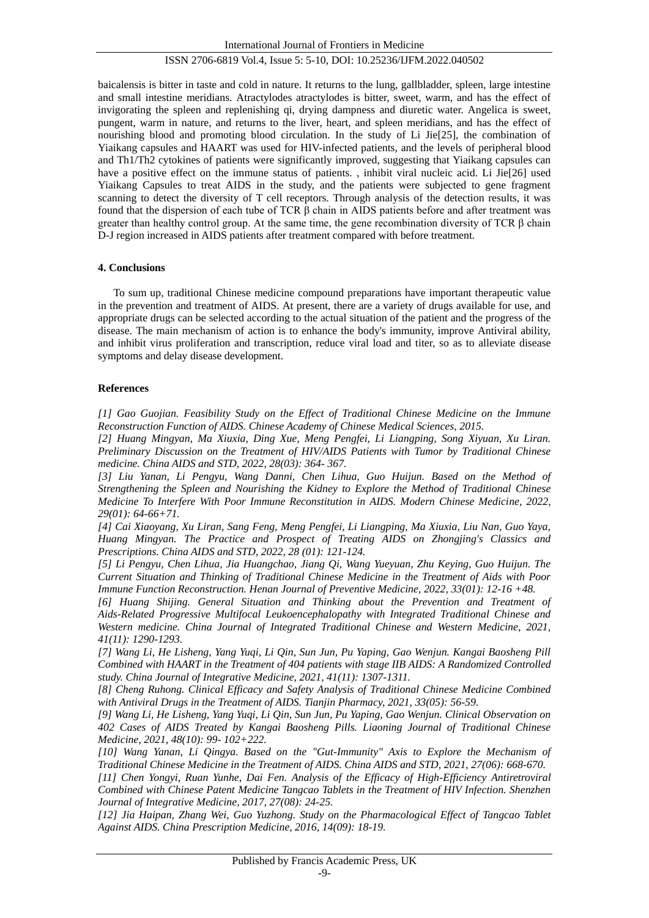baicalensis is bitter in taste and cold in nature. It returns to the lung, gallbladder, spleen, large intestine and small intestine meridians. Atractylodes atractylodes is bitter, sweet, warm, and has the effect of invigorating the spleen and replenishing qi, drying dampness and diuretic water. Angelica is sweet, pungent, warm in nature, and returns to the liver, heart, and spleen meridians, and has the effect of nourishing blood and promoting blood circulation. In the study of Li Jie[25], the combination of Yiaikang capsules and HAART was used for HIV-infected patients, and the levels of peripheral blood and Th1/Th2 cytokines of patients were significantly improved, suggesting that Yiaikang capsules can have a positive effect on the immune status of patients. , inhibit viral nucleic acid. Li Jie[26] used Yiaikang Capsules to treat AIDS in the study, and the patients were subjected to gene fragment scanning to detect the diversity of T cell receptors. Through analysis of the detection results, it was found that the dispersion of each tube of TCR β chain in AIDS patients before and after treatment was greater than healthy control group. At the same time, the gene recombination diversity of TCR  $\beta$  chain D-J region increased in AIDS patients after treatment compared with before treatment.

#### **4. Conclusions**

To sum up, traditional Chinese medicine compound preparations have important therapeutic value in the prevention and treatment of AIDS. At present, there are a variety of drugs available for use, and appropriate drugs can be selected according to the actual situation of the patient and the progress of the disease. The main mechanism of action is to enhance the body's immunity, improve Antiviral ability, and inhibit virus proliferation and transcription, reduce viral load and titer, so as to alleviate disease symptoms and delay disease development.

#### **References**

*[1] Gao Guojian. Feasibility Study on the Effect of Traditional Chinese Medicine on the Immune Reconstruction Function of AIDS. Chinese Academy of Chinese Medical Sciences, 2015.*

*[2] Huang Mingyan, Ma Xiuxia, Ding Xue, Meng Pengfei, Li Liangping, Song Xiyuan, Xu Liran. Preliminary Discussion on the Treatment of HIV/AIDS Patients with Tumor by Traditional Chinese medicine. China AIDS and STD, 2022, 28(03): 364- 367.*

*[3] Liu Yanan, Li Pengyu, Wang Danni, Chen Lihua, Guo Huijun. Based on the Method of Strengthening the Spleen and Nourishing the Kidney to Explore the Method of Traditional Chinese Medicine To Interfere With Poor Immune Reconstitution in AIDS. Modern Chinese Medicine, 2022, 29(01): 64-66+71.*

*[4] Cai Xiaoyang, Xu Liran, Sang Feng, Meng Pengfei, Li Liangping, Ma Xiuxia, Liu Nan, Guo Yaya, Huang Mingyan. The Practice and Prospect of Treating AIDS on Zhongjing's Classics and Prescriptions. China AIDS and STD, 2022, 28 (01): 121-124.*

*[5] Li Pengyu, Chen Lihua, Jia Huangchao, Jiang Qi, Wang Yueyuan, Zhu Keying, Guo Huijun. The Current Situation and Thinking of Traditional Chinese Medicine in the Treatment of Aids with Poor Immune Function Reconstruction. Henan Journal of Preventive Medicine, 2022, 33(01): 12-16 +48.*

*[6] Huang Shijing. General Situation and Thinking about the Prevention and Treatment of Aids-Related Progressive Multifocal Leukoencephalopathy with Integrated Traditional Chinese and Western medicine. China Journal of Integrated Traditional Chinese and Western Medicine, 2021, 41(11): 1290-1293.*

*[7] Wang Li, He Lisheng, Yang Yuqi, Li Qin, Sun Jun, Pu Yaping, Gao Wenjun. Kangai Baosheng Pill Combined with HAART in the Treatment of 404 patients with stage IIB AIDS: A Randomized Controlled study. China Journal of Integrative Medicine, 2021, 41(11): 1307-1311.*

*[8] Cheng Ruhong. Clinical Efficacy and Safety Analysis of Traditional Chinese Medicine Combined with Antiviral Drugs in the Treatment of AIDS. Tianjin Pharmacy, 2021, 33(05): 56-59.*

*[9] Wang Li, He Lisheng, Yang Yuqi, Li Qin, Sun Jun, Pu Yaping, Gao Wenjun. Clinical Observation on 402 Cases of AIDS Treated by Kangai Baosheng Pills. Liaoning Journal of Traditional Chinese Medicine, 2021, 48(10): 99- 102+222.*

*[10] Wang Yanan, Li Qingya. Based on the "Gut-Immunity" Axis to Explore the Mechanism of Traditional Chinese Medicine in the Treatment of AIDS. China AIDS and STD, 2021, 27(06): 668-670. [11] Chen Yongyi, Ruan Yunhe, Dai Fen. Analysis of the Efficacy of High-Efficiency Antiretroviral Combined with Chinese Patent Medicine Tangcao Tablets in the Treatment of HIV Infection. Shenzhen* 

*Journal of Integrative Medicine, 2017, 27(08): 24-25. [12] Jia Haipan, Zhang Wei, Guo Yuzhong. Study on the Pharmacological Effect of Tangcao Tablet Against AIDS. China Prescription Medicine, 2016, 14(09): 18-19.*